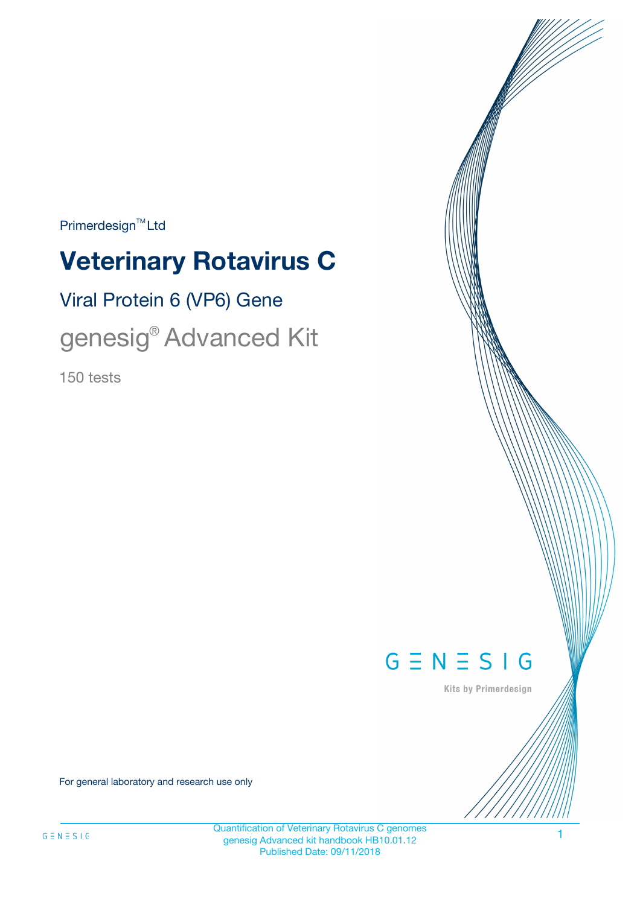$Primerdesign^{\text{TM}}Ltd$ 

# **Veterinary Rotavirus C**

Viral Protein 6 (VP6) Gene

genesig® Advanced Kit

150 tests



Kits by Primerdesign

For general laboratory and research use only

1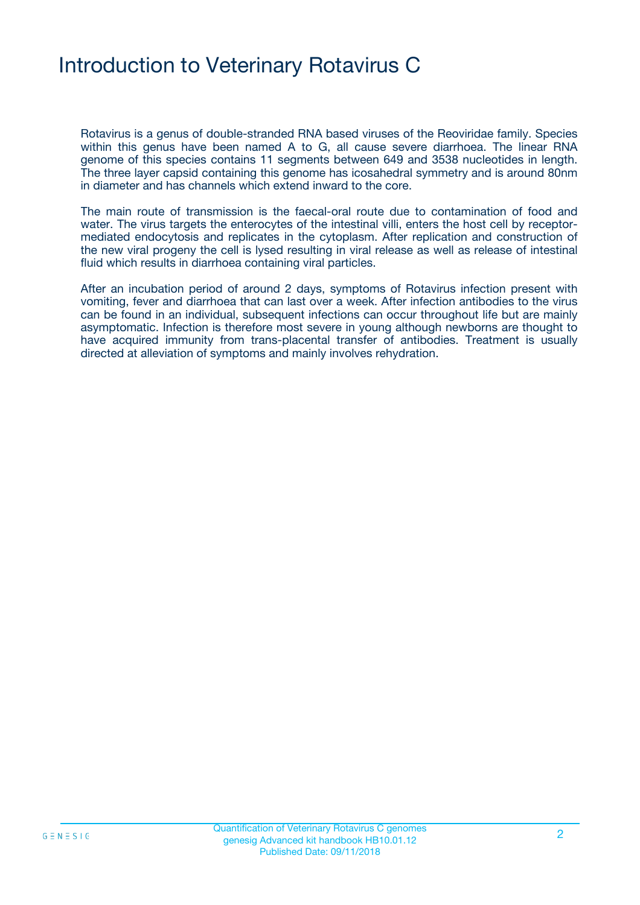### Introduction to Veterinary Rotavirus C

Rotavirus is a genus of double-stranded RNA based viruses of the Reoviridae family. Species within this genus have been named A to G, all cause severe diarrhoea. The linear RNA genome of this species contains 11 segments between 649 and 3538 nucleotides in length. The three layer capsid containing this genome has icosahedral symmetry and is around 80nm in diameter and has channels which extend inward to the core.

The main route of transmission is the faecal-oral route due to contamination of food and water. The virus targets the enterocytes of the intestinal villi, enters the host cell by receptormediated endocytosis and replicates in the cytoplasm. After replication and construction of the new viral progeny the cell is lysed resulting in viral release as well as release of intestinal fluid which results in diarrhoea containing viral particles.

After an incubation period of around 2 days, symptoms of Rotavirus infection present with vomiting, fever and diarrhoea that can last over a week. After infection antibodies to the virus can be found in an individual, subsequent infections can occur throughout life but are mainly asymptomatic. Infection is therefore most severe in young although newborns are thought to have acquired immunity from trans-placental transfer of antibodies. Treatment is usually directed at alleviation of symptoms and mainly involves rehydration.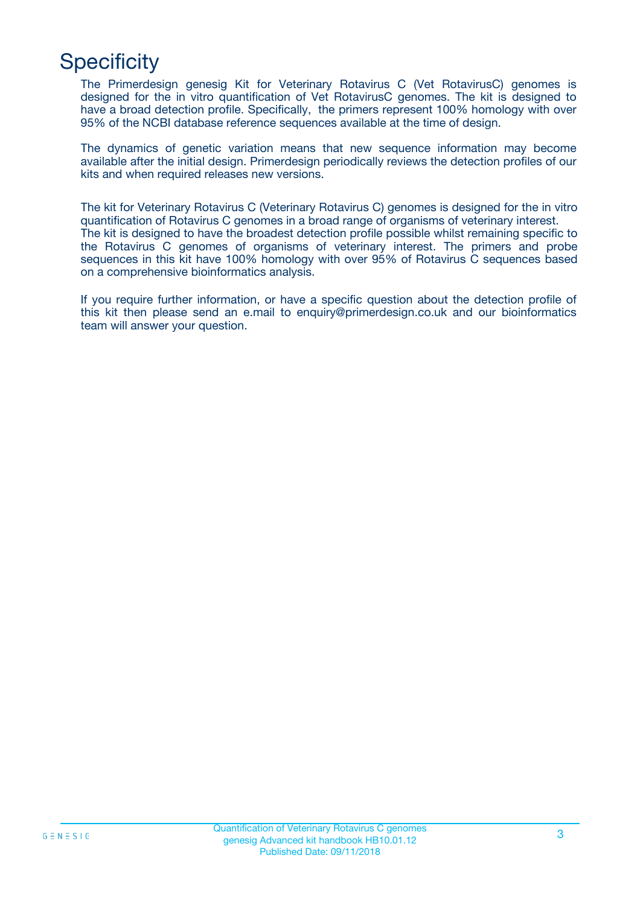## **Specificity**

The Primerdesign genesig Kit for Veterinary Rotavirus C (Vet RotavirusC) genomes is designed for the in vitro quantification of Vet RotavirusC genomes. The kit is designed to have a broad detection profile. Specifically, the primers represent 100% homology with over 95% of the NCBI database reference sequences available at the time of design.

The dynamics of genetic variation means that new sequence information may become available after the initial design. Primerdesign periodically reviews the detection profiles of our kits and when required releases new versions.

The kit for Veterinary Rotavirus C (Veterinary Rotavirus C) genomes is designed for the in vitro quantification of Rotavirus C genomes in a broad range of organisms of veterinary interest. The kit is designed to have the broadest detection profile possible whilst remaining specific to the Rotavirus C genomes of organisms of veterinary interest. The primers and probe sequences in this kit have 100% homology with over 95% of Rotavirus C sequences based on a comprehensive bioinformatics analysis.

If you require further information, or have a specific question about the detection profile of this kit then please send an e.mail to enquiry@primerdesign.co.uk and our bioinformatics team will answer your question.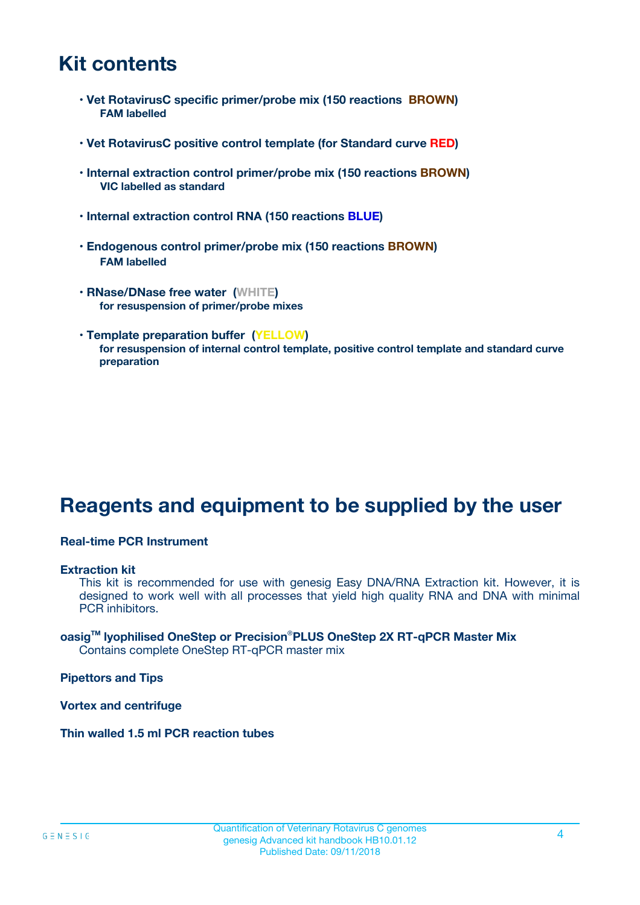### **Kit contents**

- **Vet RotavirusC specific primer/probe mix (150 reactions BROWN) FAM labelled**
- **Vet RotavirusC positive control template (for Standard curve RED)**
- **Internal extraction control primer/probe mix (150 reactions BROWN) VIC labelled as standard**
- **Internal extraction control RNA (150 reactions BLUE)**
- **Endogenous control primer/probe mix (150 reactions BROWN) FAM labelled**
- **RNase/DNase free water (WHITE) for resuspension of primer/probe mixes**
- **Template preparation buffer (YELLOW) for resuspension of internal control template, positive control template and standard curve preparation**

### **Reagents and equipment to be supplied by the user**

#### **Real-time PCR Instrument**

#### **Extraction kit**

This kit is recommended for use with genesig Easy DNA/RNA Extraction kit. However, it is designed to work well with all processes that yield high quality RNA and DNA with minimal PCR inhibitors.

#### **oasigTM lyophilised OneStep or Precision**®**PLUS OneStep 2X RT-qPCR Master Mix** Contains complete OneStep RT-qPCR master mix

**Pipettors and Tips**

**Vortex and centrifuge**

**Thin walled 1.5 ml PCR reaction tubes**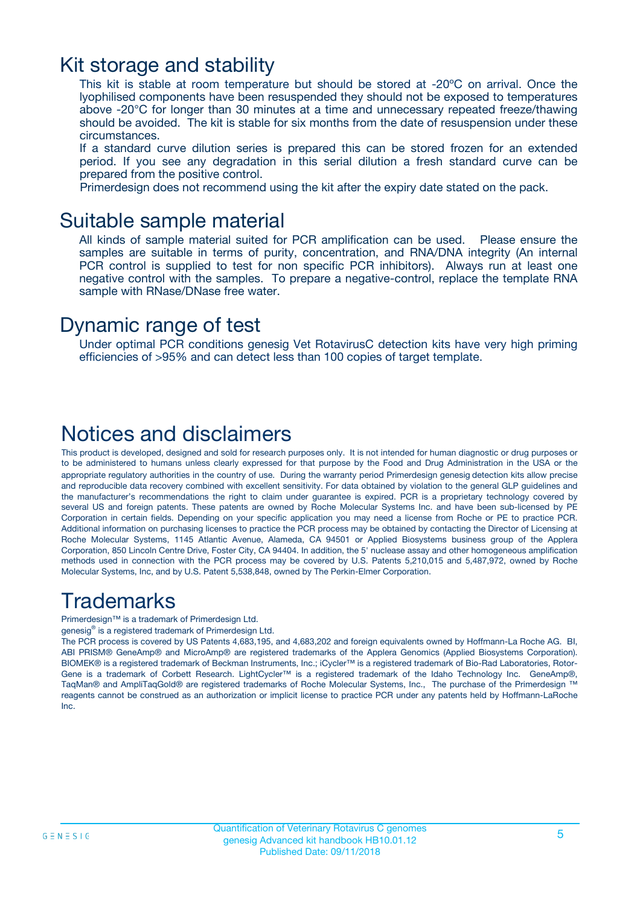### Kit storage and stability

This kit is stable at room temperature but should be stored at -20ºC on arrival. Once the lyophilised components have been resuspended they should not be exposed to temperatures above -20°C for longer than 30 minutes at a time and unnecessary repeated freeze/thawing should be avoided. The kit is stable for six months from the date of resuspension under these circumstances.

If a standard curve dilution series is prepared this can be stored frozen for an extended period. If you see any degradation in this serial dilution a fresh standard curve can be prepared from the positive control.

Primerdesign does not recommend using the kit after the expiry date stated on the pack.

### Suitable sample material

All kinds of sample material suited for PCR amplification can be used. Please ensure the samples are suitable in terms of purity, concentration, and RNA/DNA integrity (An internal PCR control is supplied to test for non specific PCR inhibitors). Always run at least one negative control with the samples. To prepare a negative-control, replace the template RNA sample with RNase/DNase free water.

### Dynamic range of test

Under optimal PCR conditions genesig Vet RotavirusC detection kits have very high priming efficiencies of >95% and can detect less than 100 copies of target template.

### Notices and disclaimers

This product is developed, designed and sold for research purposes only. It is not intended for human diagnostic or drug purposes or to be administered to humans unless clearly expressed for that purpose by the Food and Drug Administration in the USA or the appropriate regulatory authorities in the country of use. During the warranty period Primerdesign genesig detection kits allow precise and reproducible data recovery combined with excellent sensitivity. For data obtained by violation to the general GLP guidelines and the manufacturer's recommendations the right to claim under guarantee is expired. PCR is a proprietary technology covered by several US and foreign patents. These patents are owned by Roche Molecular Systems Inc. and have been sub-licensed by PE Corporation in certain fields. Depending on your specific application you may need a license from Roche or PE to practice PCR. Additional information on purchasing licenses to practice the PCR process may be obtained by contacting the Director of Licensing at Roche Molecular Systems, 1145 Atlantic Avenue, Alameda, CA 94501 or Applied Biosystems business group of the Applera Corporation, 850 Lincoln Centre Drive, Foster City, CA 94404. In addition, the 5' nuclease assay and other homogeneous amplification methods used in connection with the PCR process may be covered by U.S. Patents 5,210,015 and 5,487,972, owned by Roche Molecular Systems, Inc, and by U.S. Patent 5,538,848, owned by The Perkin-Elmer Corporation.

### Trademarks

Primerdesign™ is a trademark of Primerdesign Ltd.

genesig® is a registered trademark of Primerdesign Ltd.

The PCR process is covered by US Patents 4,683,195, and 4,683,202 and foreign equivalents owned by Hoffmann-La Roche AG. BI, ABI PRISM® GeneAmp® and MicroAmp® are registered trademarks of the Applera Genomics (Applied Biosystems Corporation). BIOMEK® is a registered trademark of Beckman Instruments, Inc.; iCycler™ is a registered trademark of Bio-Rad Laboratories, Rotor-Gene is a trademark of Corbett Research. LightCycler™ is a registered trademark of the Idaho Technology Inc. GeneAmp®, TaqMan® and AmpliTaqGold® are registered trademarks of Roche Molecular Systems, Inc., The purchase of the Primerdesign ™ reagents cannot be construed as an authorization or implicit license to practice PCR under any patents held by Hoffmann-LaRoche Inc.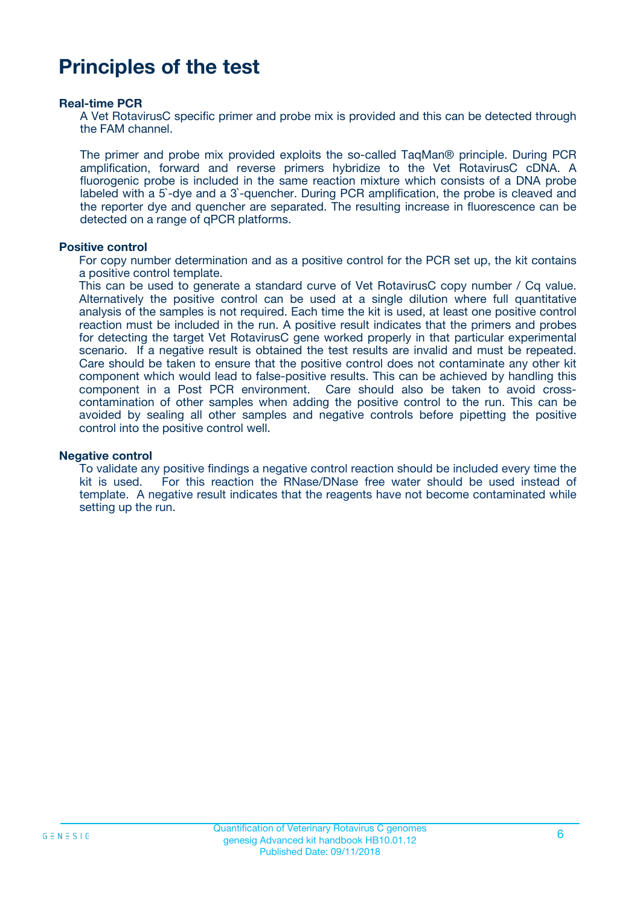### **Principles of the test**

#### **Real-time PCR**

A Vet RotavirusC specific primer and probe mix is provided and this can be detected through the FAM channel.

The primer and probe mix provided exploits the so-called TaqMan® principle. During PCR amplification, forward and reverse primers hybridize to the Vet RotavirusC cDNA. A fluorogenic probe is included in the same reaction mixture which consists of a DNA probe labeled with a 5`-dye and a 3`-quencher. During PCR amplification, the probe is cleaved and the reporter dye and quencher are separated. The resulting increase in fluorescence can be detected on a range of qPCR platforms.

#### **Positive control**

For copy number determination and as a positive control for the PCR set up, the kit contains a positive control template.

This can be used to generate a standard curve of Vet RotavirusC copy number / Cq value. Alternatively the positive control can be used at a single dilution where full quantitative analysis of the samples is not required. Each time the kit is used, at least one positive control reaction must be included in the run. A positive result indicates that the primers and probes for detecting the target Vet RotavirusC gene worked properly in that particular experimental scenario. If a negative result is obtained the test results are invalid and must be repeated. Care should be taken to ensure that the positive control does not contaminate any other kit component which would lead to false-positive results. This can be achieved by handling this component in a Post PCR environment. Care should also be taken to avoid crosscontamination of other samples when adding the positive control to the run. This can be avoided by sealing all other samples and negative controls before pipetting the positive control into the positive control well.

#### **Negative control**

To validate any positive findings a negative control reaction should be included every time the kit is used. For this reaction the RNase/DNase free water should be used instead of template. A negative result indicates that the reagents have not become contaminated while setting up the run.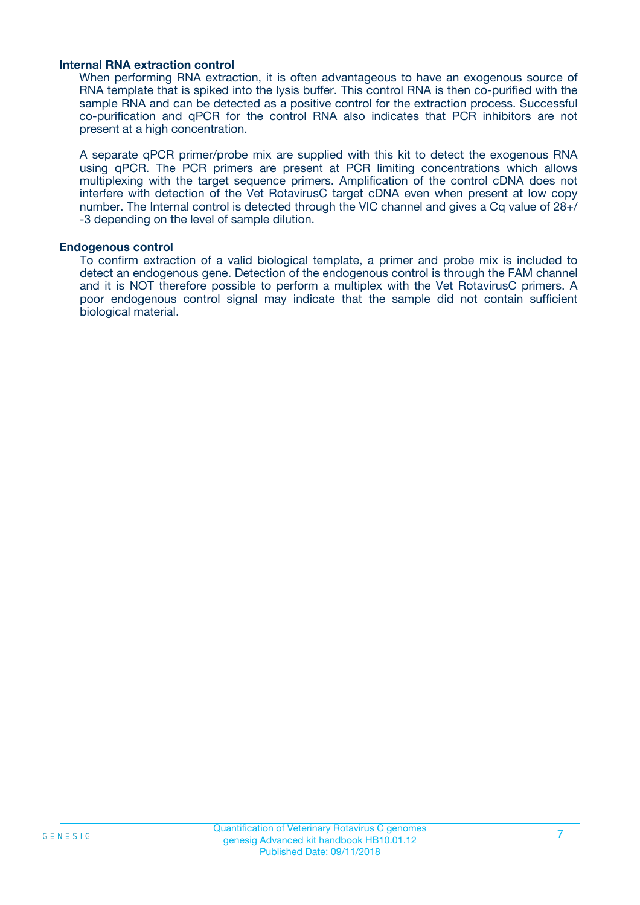#### **Internal RNA extraction control**

When performing RNA extraction, it is often advantageous to have an exogenous source of RNA template that is spiked into the lysis buffer. This control RNA is then co-purified with the sample RNA and can be detected as a positive control for the extraction process. Successful co-purification and qPCR for the control RNA also indicates that PCR inhibitors are not present at a high concentration.

A separate qPCR primer/probe mix are supplied with this kit to detect the exogenous RNA using qPCR. The PCR primers are present at PCR limiting concentrations which allows multiplexing with the target sequence primers. Amplification of the control cDNA does not interfere with detection of the Vet RotavirusC target cDNA even when present at low copy number. The Internal control is detected through the VIC channel and gives a Cq value of 28+/ -3 depending on the level of sample dilution.

#### **Endogenous control**

To confirm extraction of a valid biological template, a primer and probe mix is included to detect an endogenous gene. Detection of the endogenous control is through the FAM channel and it is NOT therefore possible to perform a multiplex with the Vet RotavirusC primers. A poor endogenous control signal may indicate that the sample did not contain sufficient biological material.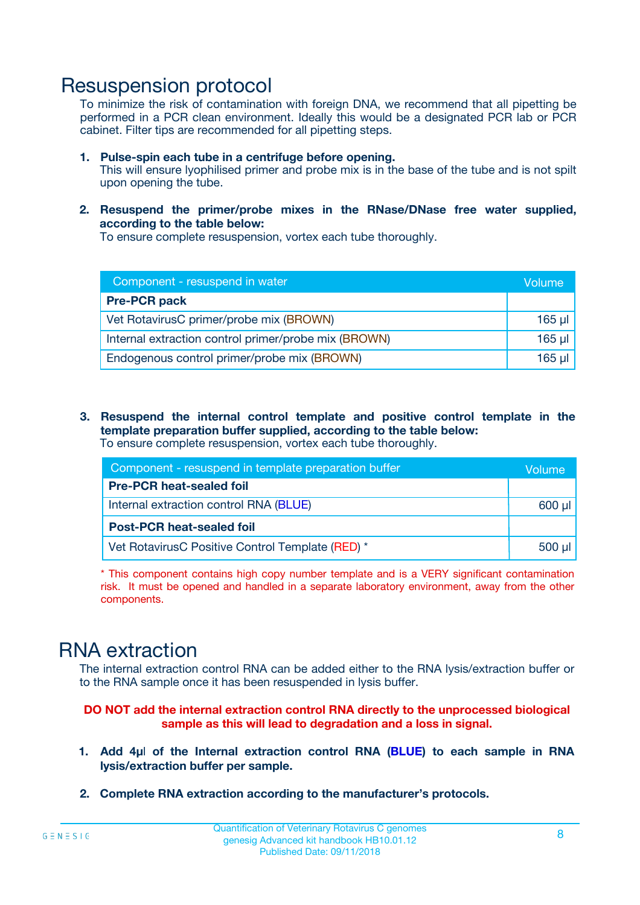### Resuspension protocol

To minimize the risk of contamination with foreign DNA, we recommend that all pipetting be performed in a PCR clean environment. Ideally this would be a designated PCR lab or PCR cabinet. Filter tips are recommended for all pipetting steps.

- **1. Pulse-spin each tube in a centrifuge before opening.** This will ensure lyophilised primer and probe mix is in the base of the tube and is not spilt upon opening the tube.
- **2. Resuspend the primer/probe mixes in the RNase/DNase free water supplied, according to the table below:**

To ensure complete resuspension, vortex each tube thoroughly.

| Component - resuspend in water                       |          |  |
|------------------------------------------------------|----------|--|
| <b>Pre-PCR pack</b>                                  |          |  |
| Vet RotavirusC primer/probe mix (BROWN)              | $165$ µ  |  |
| Internal extraction control primer/probe mix (BROWN) | $165$ µl |  |
| Endogenous control primer/probe mix (BROWN)          | 165 µl   |  |

**3. Resuspend the internal control template and positive control template in the template preparation buffer supplied, according to the table below:** To ensure complete resuspension, vortex each tube thoroughly.

| Component - resuspend in template preparation buffer |  |  |  |
|------------------------------------------------------|--|--|--|
| <b>Pre-PCR heat-sealed foil</b>                      |  |  |  |
| Internal extraction control RNA (BLUE)               |  |  |  |
| <b>Post-PCR heat-sealed foil</b>                     |  |  |  |
| Vet RotavirusC Positive Control Template (RED) *     |  |  |  |

\* This component contains high copy number template and is a VERY significant contamination risk. It must be opened and handled in a separate laboratory environment, away from the other components.

### RNA extraction

The internal extraction control RNA can be added either to the RNA lysis/extraction buffer or to the RNA sample once it has been resuspended in lysis buffer.

#### **DO NOT add the internal extraction control RNA directly to the unprocessed biological sample as this will lead to degradation and a loss in signal.**

- **1. Add 4µ**l **of the Internal extraction control RNA (BLUE) to each sample in RNA lysis/extraction buffer per sample.**
- **2. Complete RNA extraction according to the manufacturer's protocols.**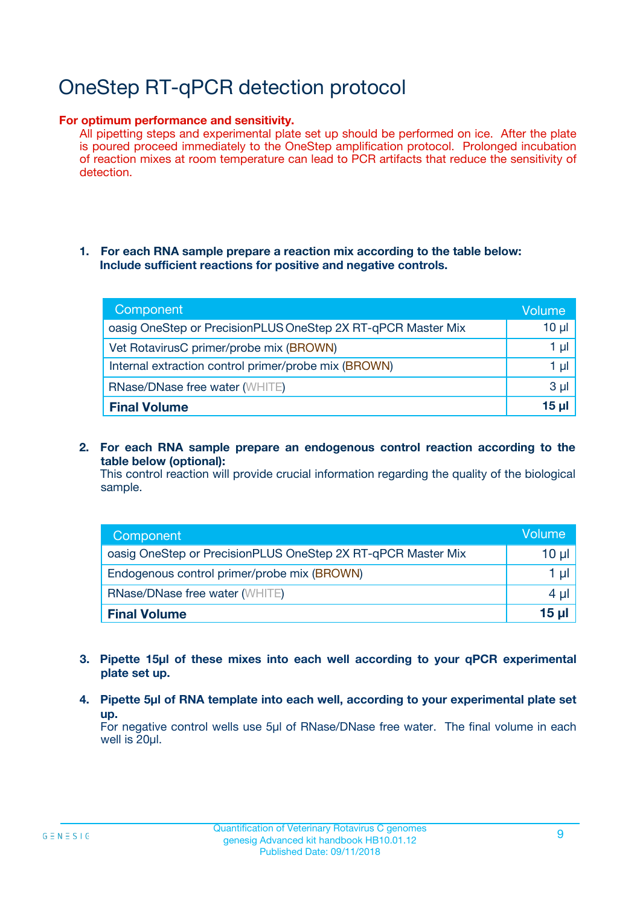# OneStep RT-qPCR detection protocol

#### **For optimum performance and sensitivity.**

All pipetting steps and experimental plate set up should be performed on ice. After the plate is poured proceed immediately to the OneStep amplification protocol. Prolonged incubation of reaction mixes at room temperature can lead to PCR artifacts that reduce the sensitivity of detection.

#### **1. For each RNA sample prepare a reaction mix according to the table below: Include sufficient reactions for positive and negative controls.**

| Component                                                    | Volumer  |
|--------------------------------------------------------------|----------|
| oasig OneStep or PrecisionPLUS OneStep 2X RT-qPCR Master Mix | $10 \mu$ |
| Vet RotavirusC primer/probe mix (BROWN)                      | 1 µl     |
| Internal extraction control primer/probe mix (BROWN)         | 1 µI     |
| <b>RNase/DNase free water (WHITE)</b>                        | $3 \mu$  |
| <b>Final Volume</b>                                          | 15 ul    |

**2. For each RNA sample prepare an endogenous control reaction according to the table below (optional):**

This control reaction will provide crucial information regarding the quality of the biological sample.

| Component                                                    | Volume          |
|--------------------------------------------------------------|-----------------|
| oasig OneStep or PrecisionPLUS OneStep 2X RT-qPCR Master Mix | 10 µl           |
| Endogenous control primer/probe mix (BROWN)                  | 1 µl            |
| <b>RNase/DNase free water (WHITE)</b>                        | $4 \mu$         |
| <b>Final Volume</b>                                          | $15$ µl $\vert$ |

- **3. Pipette 15µl of these mixes into each well according to your qPCR experimental plate set up.**
- **4. Pipette 5µl of RNA template into each well, according to your experimental plate set up.**

For negative control wells use 5µl of RNase/DNase free water. The final volume in each well is 20µl.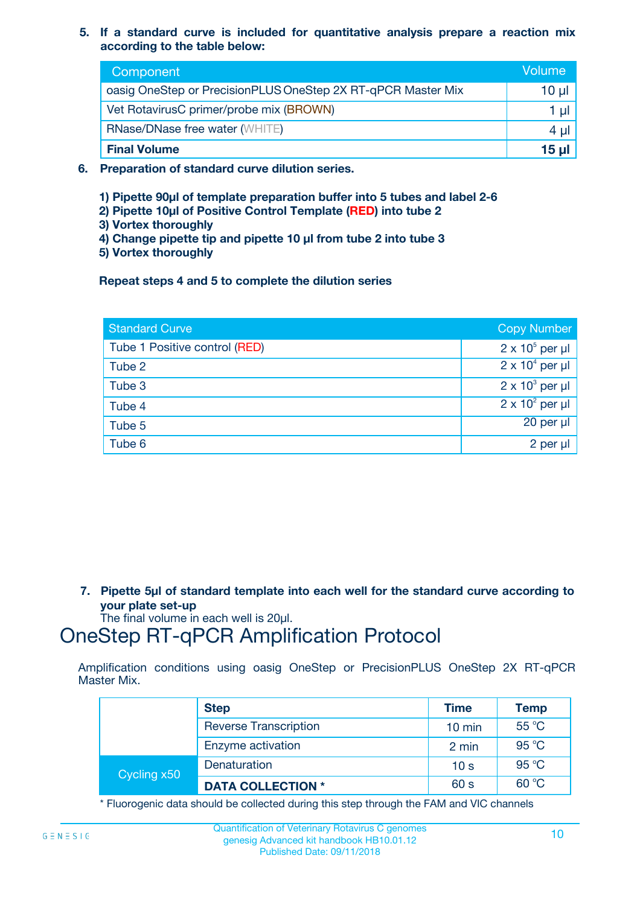**5. If a standard curve is included for quantitative analysis prepare a reaction mix according to the table below:**

| Component                                                    | Volume       |
|--------------------------------------------------------------|--------------|
| oasig OneStep or PrecisionPLUS OneStep 2X RT-qPCR Master Mix | $10 \mu$     |
| Vet RotavirusC primer/probe mix (BROWN)                      |              |
| <b>RNase/DNase free water (WHITE)</b>                        | 4 U          |
| <b>Final Volume</b>                                          | <u>15 µl</u> |

- **6. Preparation of standard curve dilution series.**
	- **1) Pipette 90µl of template preparation buffer into 5 tubes and label 2-6**
	- **2) Pipette 10µl of Positive Control Template (RED) into tube 2**
	- **3) Vortex thoroughly**
	- **4) Change pipette tip and pipette 10 µl from tube 2 into tube 3**
	- **5) Vortex thoroughly**

**Repeat steps 4 and 5 to complete the dilution series**

| <b>Standard Curve</b>         | <b>Copy Number</b>     |
|-------------------------------|------------------------|
| Tube 1 Positive control (RED) | $2 \times 10^5$ per µl |
| Tube 2                        | $2 \times 10^4$ per µl |
| Tube 3                        | $2 \times 10^3$ per µl |
| Tube 4                        | $2 \times 10^2$ per µl |
| Tube 5                        | 20 per µl              |
| Tube 6                        | 2 per µl               |

**7. Pipette 5µl of standard template into each well for the standard curve according to your plate set-up**

The final volume in each well is 20µl.

### OneStep RT-qPCR Amplification Protocol

Amplification conditions using oasig OneStep or PrecisionPLUS OneStep 2X RT-qPCR Master Mix.

|             | <b>Step</b>                  | <b>Time</b>      | <b>Temp</b> |
|-------------|------------------------------|------------------|-------------|
|             | <b>Reverse Transcription</b> | $10 \text{ min}$ | 55 °C       |
|             | Enzyme activation            | 2 min            | 95 °C       |
| Cycling x50 | Denaturation                 | 10 <sub>s</sub>  | 95 °C       |
|             | <b>DATA COLLECTION *</b>     | 60 s             | 60 °C       |

\* Fluorogenic data should be collected during this step through the FAM and VIC channels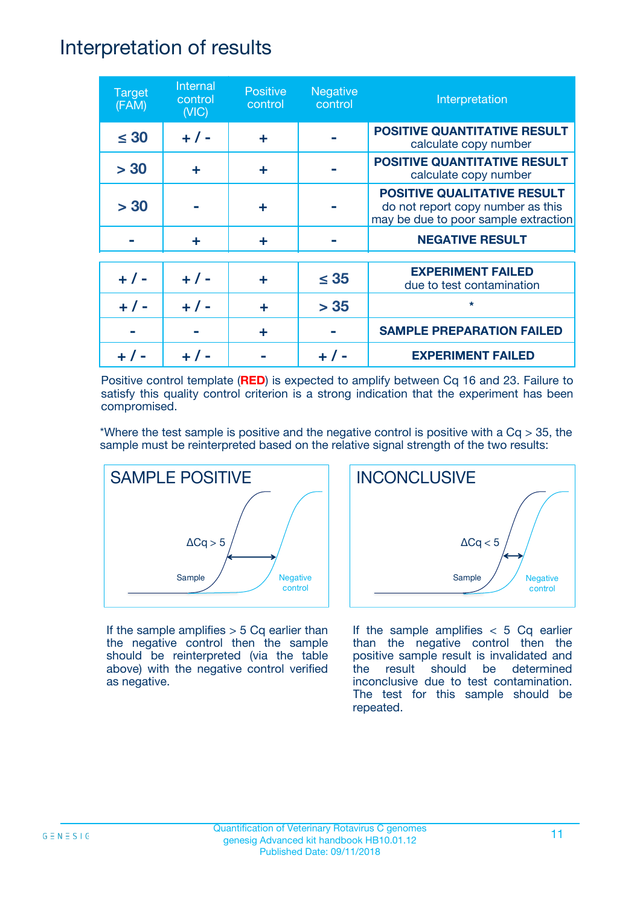### Interpretation of results

| <b>Target</b><br>(FAM) | Internal<br>control<br>(NIC) | <b>Positive</b><br>control | <b>Negative</b><br>control | Interpretation                                                                                                  |
|------------------------|------------------------------|----------------------------|----------------------------|-----------------------------------------------------------------------------------------------------------------|
| $\leq 30$              | $+ 1 -$                      | ÷                          |                            | <b>POSITIVE QUANTITATIVE RESULT</b><br>calculate copy number                                                    |
| > 30                   | ÷                            | ÷                          |                            | <b>POSITIVE QUANTITATIVE RESULT</b><br>calculate copy number                                                    |
| > 30                   |                              | ÷                          |                            | <b>POSITIVE QUALITATIVE RESULT</b><br>do not report copy number as this<br>may be due to poor sample extraction |
|                        | ÷                            | ÷                          |                            | <b>NEGATIVE RESULT</b>                                                                                          |
| $+ 1 -$                | $+ 1 -$                      | ÷                          | $\leq$ 35                  | <b>EXPERIMENT FAILED</b><br>due to test contamination                                                           |
|                        | $+$ / -                      |                            | > 35                       | $\star$                                                                                                         |
|                        |                              | ÷                          |                            | <b>SAMPLE PREPARATION FAILED</b>                                                                                |
|                        |                              |                            |                            | <b>EXPERIMENT FAILED</b>                                                                                        |

Positive control template (**RED**) is expected to amplify between Cq 16 and 23. Failure to satisfy this quality control criterion is a strong indication that the experiment has been compromised.

\*Where the test sample is positive and the negative control is positive with a  $Cq > 35$ , the sample must be reinterpreted based on the relative signal strength of the two results:



If the sample amplifies  $> 5$  Cq earlier than the negative control then the sample should be reinterpreted (via the table above) with the negative control verified as negative.



If the sample amplifies  $< 5$  Cq earlier than the negative control then the positive sample result is invalidated and the result should be determined inconclusive due to test contamination. The test for this sample should be repeated.